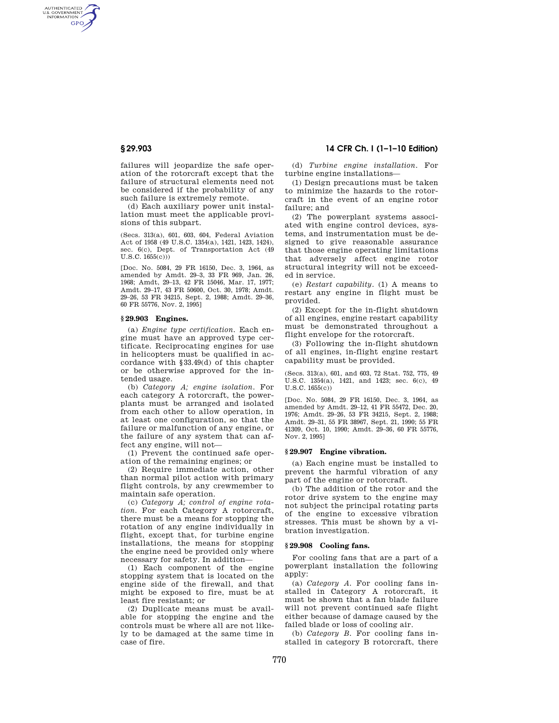AUTHENTICATED<br>U.S. GOVERNMENT<br>INFORMATION **GPO** 

> failures will jeopardize the safe operation of the rotorcraft except that the failure of structural elements need not be considered if the probability of any such failure is extremely remote.

> (d) Each auxiliary power unit installation must meet the applicable provisions of this subpart.

> (Secs. 313(a), 601, 603, 604, Federal Aviation Act of 1958 (49 U.S.C. 1354(a), 1421, 1423, 1424), sec. 6(c), Dept. of Transportation Act (49 U.S.C. 1655(c)))

> [Doc. No. 5084, 29 FR 16150, Dec. 3, 1964, as amended by Amdt. 29–3, 33 FR 969, Jan. 26, 1968; Amdt, 29–13, 42 FR 15046, Mar. 17, 1977; Amdt. 29–17, 43 FR 50600, Oct. 30, 1978; Amdt. 29–26, 53 FR 34215, Sept. 2, 1988; Amdt. 29–36, 60 FR 55776, Nov. 2, 1995]

# **§ 29.903 Engines.**

(a) *Engine type certification.* Each engine must have an approved type certificate. Reciprocating engines for use in helicopters must be qualified in accordance with §33.49(d) of this chapter or be otherwise approved for the intended usage.

(b) *Category A; engine isolation.* For each category A rotorcraft, the powerplants must be arranged and isolated from each other to allow operation, in at least one configuration, so that the failure or malfunction of any engine, or the failure of any system that can affect any engine, will not—

(1) Prevent the continued safe operation of the remaining engines; or

(2) Require immediate action, other than normal pilot action with primary flight controls, by any crewmember to maintain safe operation.

(c) *Category A; control of engine rotation.* For each Category A rotorcraft, there must be a means for stopping the rotation of any engine individually in flight, except that, for turbine engine installations, the means for stopping the engine need be provided only where necessary for safety. In addition—

(1) Each component of the engine stopping system that is located on the engine side of the firewall, and that might be exposed to fire, must be at least fire resistant; or

(2) Duplicate means must be available for stopping the engine and the controls must be where all are not likely to be damaged at the same time in case of fire.

# **§ 29.903 14 CFR Ch. I (1–1–10 Edition)**

(d) *Turbine engine installation.* For turbine engine installations—

(1) Design precautions must be taken to minimize the hazards to the rotorcraft in the event of an engine rotor failure; and

(2) The powerplant systems associated with engine control devices, systems, and instrumentation must be designed to give reasonable assurance that those engine operating limitations that adversely affect engine rotor structural integrity will not be exceeded in service.

(e) *Restart capability.* (1) A means to restart any engine in flight must be provided.

(2) Except for the in-flight shutdown of all engines, engine restart capability must be demonstrated throughout a flight envelope for the rotorcraft.

(3) Following the in-flight shutdown of all engines, in-flight engine restart capability must be provided.

(Secs. 313(a), 601, and 603, 72 Stat. 752, 775, 49 U.S.C. 1354(a), 1421, and 1423; sec. 6(c), 49 U.S.C. 1655(c))

[Doc. No. 5084, 29 FR 16150, Dec. 3, 1964, as amended by Amdt. 29–12, 41 FR 55472, Dec. 20, 1976; Amdt. 29–26, 53 FR 34215, Sept. 2, 1988; Amdt. 29–31, 55 FR 38967, Sept. 21, 1990; 55 FR 41309, Oct. 10, 1990; Amdt. 29–36, 60 FR 55776, Nov. 2, 1995]

# **§ 29.907 Engine vibration.**

(a) Each engine must be installed to prevent the harmful vibration of any part of the engine or rotorcraft.

(b) The addition of the rotor and the rotor drive system to the engine may not subject the principal rotating parts of the engine to excessive vibration stresses. This must be shown by a vibration investigation.

#### **§ 29.908 Cooling fans.**

For cooling fans that are a part of a powerplant installation the following apply:

(a) *Category A.* For cooling fans installed in Category A rotorcraft, it must be shown that a fan blade failure will not prevent continued safe flight either because of damage caused by the failed blade or loss of cooling air.

(b) *Category B.* For cooling fans installed in category B rotorcraft, there